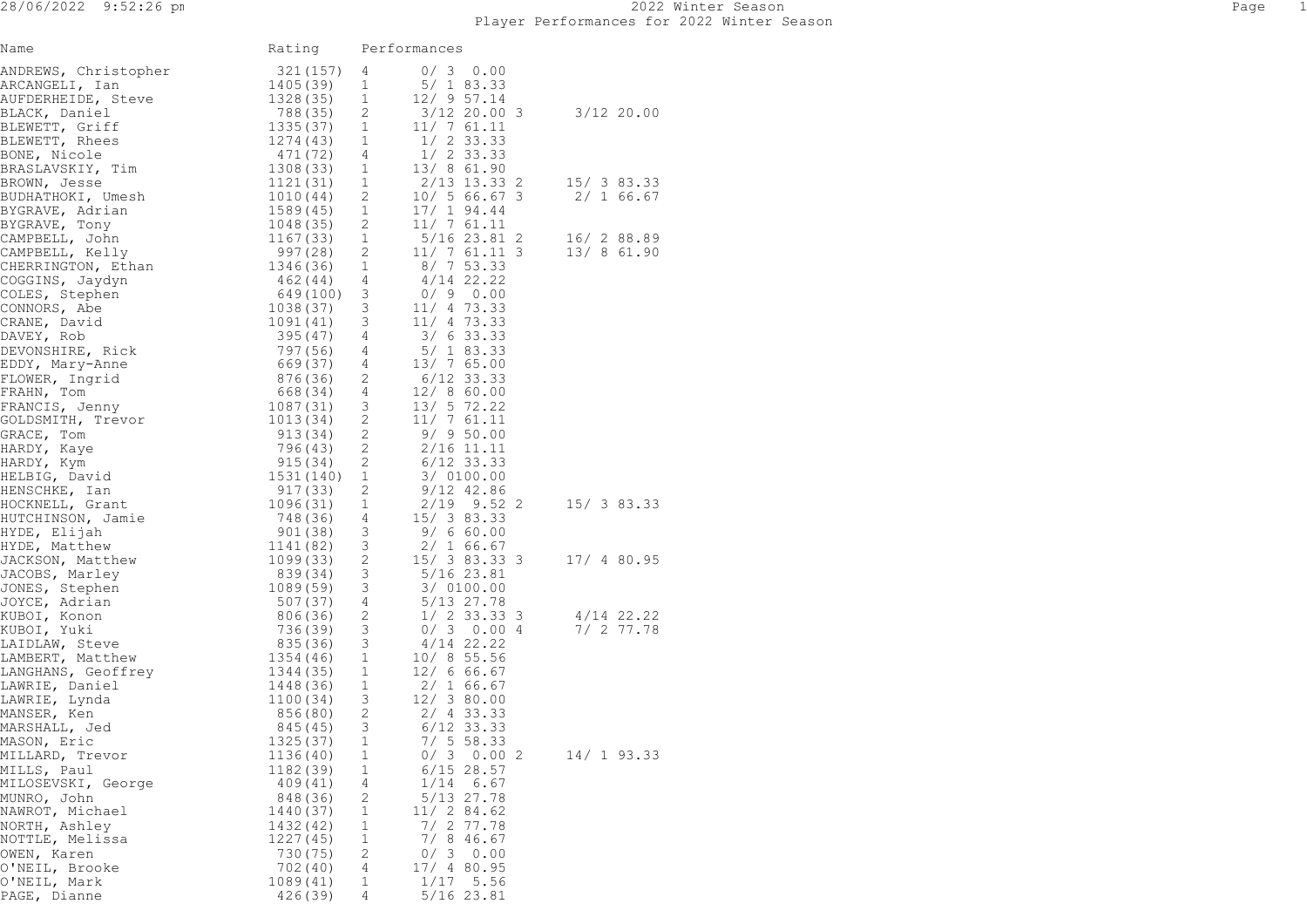| Name                                                                                                                                                                                                                                                 | Rating                |        | Performances                 |              |  |
|------------------------------------------------------------------------------------------------------------------------------------------------------------------------------------------------------------------------------------------------------|-----------------------|--------|------------------------------|--------------|--|
| ANDREWS, Christopher<br>ARCANGELI, Ian<br>AUFDERHEIDE, Steve 1328(35) 1<br>BLACK, Daniel 788(35) 2<br>BLEWETT, Griff 1335(37) 1<br>BLEWETT, Rhees 1274(43) 1<br>BONE, Nicole 471(72) 4<br>BRASLAVSKIY, Tim 1308(33) 1<br>BROWN, Jesse 1121(31)       |                       |        | $0/3$ 0.00                   |              |  |
|                                                                                                                                                                                                                                                      |                       |        | 5/183.33                     |              |  |
|                                                                                                                                                                                                                                                      |                       |        | $12/9$ 57.14                 |              |  |
|                                                                                                                                                                                                                                                      |                       |        | 3/12 20.00 3<br>$11/7$ 61.11 | $3/12$ 20.00 |  |
|                                                                                                                                                                                                                                                      |                       |        |                              |              |  |
|                                                                                                                                                                                                                                                      |                       |        | $1/2$ 33.33<br>$1/2$ 33.33   |              |  |
|                                                                                                                                                                                                                                                      |                       |        |                              |              |  |
|                                                                                                                                                                                                                                                      |                       |        |                              |              |  |
|                                                                                                                                                                                                                                                      |                       |        |                              |              |  |
|                                                                                                                                                                                                                                                      |                       |        |                              |              |  |
|                                                                                                                                                                                                                                                      |                       |        |                              |              |  |
|                                                                                                                                                                                                                                                      |                       |        |                              |              |  |
|                                                                                                                                                                                                                                                      |                       |        |                              |              |  |
|                                                                                                                                                                                                                                                      |                       |        |                              |              |  |
|                                                                                                                                                                                                                                                      |                       |        |                              |              |  |
|                                                                                                                                                                                                                                                      |                       |        |                              |              |  |
|                                                                                                                                                                                                                                                      |                       |        |                              |              |  |
|                                                                                                                                                                                                                                                      |                       |        |                              |              |  |
|                                                                                                                                                                                                                                                      |                       |        |                              |              |  |
|                                                                                                                                                                                                                                                      |                       |        |                              |              |  |
|                                                                                                                                                                                                                                                      |                       |        |                              |              |  |
|                                                                                                                                                                                                                                                      |                       |        |                              |              |  |
|                                                                                                                                                                                                                                                      |                       |        |                              |              |  |
|                                                                                                                                                                                                                                                      |                       |        |                              |              |  |
|                                                                                                                                                                                                                                                      |                       |        |                              |              |  |
| 1997-1997, Adent 12021<br>1997-27, Alexan 12021<br>1998-27, Alexan 12021<br>1998-27, Alexan 12021<br>1998-2003, Action 110, 1003<br>1998-2003, Alexan 12021<br>1998-2003<br>1998-2003, Alexan 12021<br>1998-2003<br>1998-2003<br>1998-2003<br>1998-2 |                       |        |                              |              |  |
|                                                                                                                                                                                                                                                      |                       |        |                              |              |  |
|                                                                                                                                                                                                                                                      |                       |        |                              |              |  |
|                                                                                                                                                                                                                                                      |                       |        |                              |              |  |
|                                                                                                                                                                                                                                                      |                       |        |                              |              |  |
|                                                                                                                                                                                                                                                      |                       |        |                              |              |  |
|                                                                                                                                                                                                                                                      |                       |        |                              |              |  |
|                                                                                                                                                                                                                                                      |                       |        |                              |              |  |
|                                                                                                                                                                                                                                                      |                       |        |                              |              |  |
|                                                                                                                                                                                                                                                      |                       |        |                              |              |  |
|                                                                                                                                                                                                                                                      |                       |        |                              |              |  |
|                                                                                                                                                                                                                                                      |                       |        |                              |              |  |
|                                                                                                                                                                                                                                                      |                       |        |                              |              |  |
|                                                                                                                                                                                                                                                      |                       |        |                              |              |  |
|                                                                                                                                                                                                                                                      |                       |        |                              |              |  |
|                                                                                                                                                                                                                                                      |                       |        |                              |              |  |
|                                                                                                                                                                                                                                                      |                       |        |                              |              |  |
|                                                                                                                                                                                                                                                      |                       |        |                              |              |  |
|                                                                                                                                                                                                                                                      |                       |        |                              |              |  |
| MASON, Eric                                                                                                                                                                                                                                          | 1325 (37)             | 1<br>1 | $7/5$ 58.33<br>$0/3$ 0.00 2  | 14/193.33    |  |
| MILLARD, Trevor<br>MILLS, Paul                                                                                                                                                                                                                       | 1136(40)<br>1182 (39) | 1      | $6/15$ 28.57                 |              |  |
| MILOSEVSKI, George                                                                                                                                                                                                                                   | 409(41)               | 4      | 1/14<br>6.67                 |              |  |
| MUNRO, John                                                                                                                                                                                                                                          | 848 (36)              | 2      | 5/13 27.78                   |              |  |
| NAWROT, Michael                                                                                                                                                                                                                                      | 1440 (37)             | 1      | 11/284.62                    |              |  |
| NORTH, Ashley                                                                                                                                                                                                                                        | 1432 (42)             | 1      | $7/2$ 77.78                  |              |  |
| NOTTLE, Melissa                                                                                                                                                                                                                                      | 1227 (45)             | 1      | $7/8$ 46.67                  |              |  |
| OWEN, Karen                                                                                                                                                                                                                                          | 730 (75)              | 2      | 0/3<br>0.00                  |              |  |
| O'NEIL, Brooke                                                                                                                                                                                                                                       | 702 (40)              | 4      | 17/ 4 80.95                  |              |  |
| O'NEIL, Mark<br>PAGE, Dianne                                                                                                                                                                                                                         | 1089(41)              | 1<br>4 | 1/17<br>5.56<br>5/16 23.81   |              |  |
|                                                                                                                                                                                                                                                      | 426(39)               |        |                              |              |  |